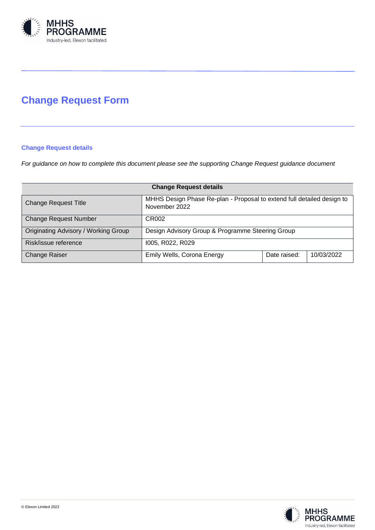

# **Change Request Form**

# **Change Request details**

*For guidance on how to complete this document please see the supporting Change Request guidance document*

| <b>Change Request details</b>        |                                                                                         |              |            |  |  |
|--------------------------------------|-----------------------------------------------------------------------------------------|--------------|------------|--|--|
| <b>Change Request Title</b>          | MHHS Design Phase Re-plan - Proposal to extend full detailed design to<br>November 2022 |              |            |  |  |
| <b>Change Request Number</b>         | CR002                                                                                   |              |            |  |  |
| Originating Advisory / Working Group | Design Advisory Group & Programme Steering Group                                        |              |            |  |  |
| Risk/issue reference                 | 1005, R022, R029                                                                        |              |            |  |  |
| <b>Change Raiser</b>                 | Emily Wells, Corona Energy                                                              | Date raised: | 10/03/2022 |  |  |

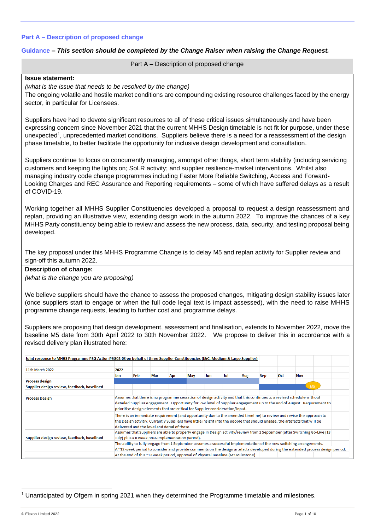#### **Part A – Description of proposed change**

#### **Guidance** *– This section should be completed by the Change Raiser when raising the Change Request.*

Part A – Description of proposed change

#### **Issue statement:**

*(what is the issue that needs to be resolved by the change)*

The ongoing volatile and hostile market conditions are compounding existing resource challenges faced by the energy sector, in particular for Licensees.

Suppliers have had to devote significant resources to all of these critical issues simultaneously and have been expressing concern since November 2021 that the current MHHS Design timetable is not fit for purpose, under these unexpected<sup>1</sup>, unprecedented market conditions. Suppliers believe there is a need for a reassessment of the design phase timetable, to better facilitate the opportunity for inclusive design development and consultation.

Suppliers continue to focus on concurrently managing, amongst other things, short term stability (including servicing customers and keeping the lights on; SoLR activity; and supplier resilience-market interventions. Whilst also managing industry code change programmes including Faster More Reliable Switching, Access and Forward-Looking Charges and REC Assurance and Reporting requirements – some of which have suffered delays as a result of COVID-19.

Working together all MHHS Supplier Constituencies developed a proposal to request a design reassessment and replan, providing an illustrative view, extending design work in the autumn 2022. To improve the chances of a key MHHS Party constituency being able to review and assess the new process, data, security, and testing proposal being developed.

The key proposal under this MHHS Programme Change is to delay M5 and replan activity for Supplier review and sign-off this autumn 2022.

# **Description of change:**

*(what is the change you are proposing)*

We believe suppliers should have the chance to assess the proposed changes, mitigating design stability issues later (once suppliers start to engage or when the full code legal text is impact assessed), with the need to raise MHHS programme change requests, leading to further cost and programme delays.

Suppliers are proposing that design development, assessment and finalisation, extends to November 2022, move the baseline M5 date from 30th April 2022 to 30th November 2022. We propose to deliver this in accordance with a revised delivery plan illustrated here:

| Joint response to MHHS Programme PSG Action PSG02-03 on behalf of three Supplier Constituencies (I&C, Medium & Large Supplier) |      |                                                                                                                                                                         |     |     |     |     |     |     |            |            |            |                |
|--------------------------------------------------------------------------------------------------------------------------------|------|-------------------------------------------------------------------------------------------------------------------------------------------------------------------------|-----|-----|-----|-----|-----|-----|------------|------------|------------|----------------|
| 11th March 2022                                                                                                                | 2022 |                                                                                                                                                                         |     |     |     |     |     |     |            |            |            |                |
|                                                                                                                                | Jan  | Feb                                                                                                                                                                     | Mar | Apr | May | Jun | Jul | Aug | <b>Sep</b> | <b>Oct</b> | <b>Nov</b> |                |
| <b>Process design</b>                                                                                                          |      |                                                                                                                                                                         |     |     |     |     |     |     |            |            |            |                |
| Supplier design review, feedback, baselined                                                                                    |      |                                                                                                                                                                         |     |     |     |     |     |     |            |            |            | M <sub>5</sub> |
|                                                                                                                                |      |                                                                                                                                                                         |     |     |     |     |     |     |            |            |            |                |
| <b>Process Design</b>                                                                                                          |      | Assumes that there is no programme cessation of design activity and that this continues to a revised schedule without                                                   |     |     |     |     |     |     |            |            |            |                |
|                                                                                                                                |      | detailed Supplier engagement. Opportunity for low level of Supplier engagement up to the end of August. Requirement to                                                  |     |     |     |     |     |     |            |            |            |                |
|                                                                                                                                |      | prioritise design elements that are critical for Supplier consideration/input.                                                                                          |     |     |     |     |     |     |            |            |            |                |
|                                                                                                                                |      | There is an immediate requirement (and opportunity due to the amended timeline) to review and revise the approach to                                                    |     |     |     |     |     |     |            |            |            |                |
|                                                                                                                                |      | the Design actvitiy. Currently Suppliers have little insight into the people that should engage, the artefacts that will be                                             |     |     |     |     |     |     |            |            |            |                |
|                                                                                                                                |      | delivered and the level and detail of these.                                                                                                                            |     |     |     |     |     |     |            |            |            |                |
|                                                                                                                                |      | Assumes that Suppliers are able to properly engage in Design activity/review from 1 September (after Switching Go-Live (18)                                             |     |     |     |     |     |     |            |            |            |                |
| Supplier design review, feedback, baselined                                                                                    |      |                                                                                                                                                                         |     |     |     |     |     |     |            |            |            |                |
|                                                                                                                                |      | July) plus a 6 week post-implementation period).<br>The ability to fully engage from 1 September assumes a successful implementation of the new switching arrangements. |     |     |     |     |     |     |            |            |            |                |
|                                                                                                                                |      | A "12 week period to consider and provide comments on the design artefacts developed during the extended process design period.                                         |     |     |     |     |     |     |            |            |            |                |
|                                                                                                                                |      |                                                                                                                                                                         |     |     |     |     |     |     |            |            |            |                |
|                                                                                                                                |      | At the end of this ~12 week period, approval of Physical Baseline (M5 Milestone)                                                                                        |     |     |     |     |     |     |            |            |            |                |

<sup>1</sup> Unanticipated by Ofgem in spring 2021 when they determined the Programme timetable and milestones.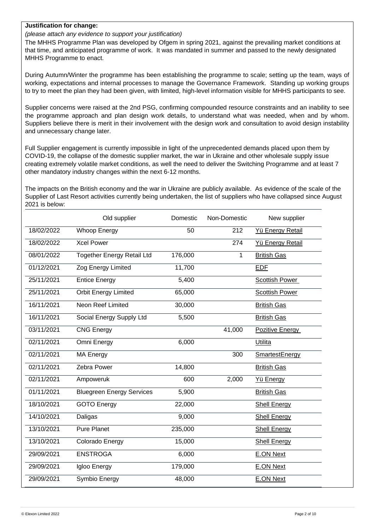## **Justification for change:**

# *(please attach any evidence to support your justification)*

The MHHS Programme Plan was developed by Ofgem in spring 2021, against the prevailing market conditions at that time, and anticipated programme of work. It was mandated in summer and passed to the newly designated MHHS Programme to enact.

During Autumn/Winter the programme has been establishing the programme to scale; setting up the team, ways of working, expectations and internal processes to manage the Governance Framework. Standing up working groups to try to meet the plan they had been given, with limited, high-level information visible for MHHS participants to see.

Supplier concerns were raised at the 2nd PSG, confirming compounded resource constraints and an inability to see the programme approach and plan design work details, to understand what was needed, when and by whom. Suppliers believe there is merit in their involvement with the design work and consultation to avoid design instability and unnecessary change later.

Full Supplier engagement is currently impossible in light of the unprecedented demands placed upon them by COVID-19, the collapse of the domestic supplier market, the war in Ukraine and other wholesale supply issue creating extremely volatile market conditions, as well the need to deliver the Switching Programme and at least 7 other mandatory industry changes within the next 6-12 months.

The impacts on the British economy and the war in Ukraine are publicly available. As evidence of the scale of the Supplier of Last Resort activities currently being undertaken, the list of suppliers who have collapsed since August 2021 is below:

|            | Old supplier                      | Domestic | Non-Domestic | New supplier          |
|------------|-----------------------------------|----------|--------------|-----------------------|
| 18/02/2022 | <b>Whoop Energy</b>               | 50       | 212          | Yü Energy Retail      |
| 18/02/2022 | <b>Xcel Power</b>                 |          | 274          | Yü Energy Retail      |
| 08/01/2022 | <b>Together Energy Retail Ltd</b> | 176,000  | 1            | <b>British Gas</b>    |
| 01/12/2021 | Zog Energy Limited                | 11,700   |              | EDE                   |
| 25/11/2021 | <b>Entice Energy</b>              | 5,400    |              | Scottish Power        |
| 25/11/2021 | <b>Orbit Energy Limited</b>       | 65,000   |              | <b>Scottish Power</b> |
| 16/11/2021 | Neon Reef Limited                 | 30,000   |              | <b>British Gas</b>    |
| 16/11/2021 | Social Energy Supply Ltd          | 5,500    |              | <b>British Gas</b>    |
| 03/11/2021 | <b>CNG Energy</b>                 |          | 41,000       | Pozitive Energy       |
| 02/11/2021 | Omni Energy                       | 6,000    |              | Utilita               |
| 02/11/2021 | MA Energy                         |          | 300          | <b>SmartestEnergy</b> |
| 02/11/2021 | Zebra Power                       | 14,800   |              | <b>British Gas</b>    |
| 02/11/2021 | Ampoweruk                         | 600      | 2,000        | Yü Energy             |
| 01/11/2021 | <b>Bluegreen Energy Services</b>  | 5,900    |              | <b>British Gas</b>    |
| 18/10/2021 | <b>GOTO Energy</b>                | 22,000   |              | <b>Shell Energy</b>   |
| 14/10/2021 | Daligas                           | 9,000    |              | <b>Shell Energy</b>   |
| 13/10/2021 | <b>Pure Planet</b>                | 235,000  |              | <b>Shell Energy</b>   |
| 13/10/2021 | Colorado Energy                   | 15,000   |              | <b>Shell Energy</b>   |
| 29/09/2021 | <b>ENSTROGA</b>                   | 6,000    |              | <b>E.ON Next</b>      |
| 29/09/2021 | Igloo Energy                      | 179,000  |              | <b>E.ON Next</b>      |
| 29/09/2021 | Symbio Energy                     | 48,000   |              | <b>E.ON Next</b>      |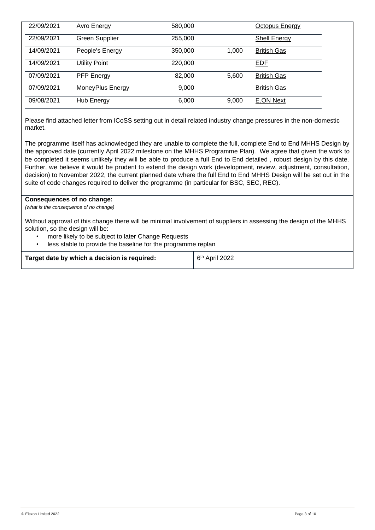| 22/09/2021 | Avro Energy           | 580,000 |       | Octopus Energy      |  |
|------------|-----------------------|---------|-------|---------------------|--|
| 22/09/2021 | <b>Green Supplier</b> | 255,000 |       | <b>Shell Energy</b> |  |
| 14/09/2021 | People's Energy       | 350,000 | 1.000 | <b>British Gas</b>  |  |
| 14/09/2021 | <b>Utility Point</b>  | 220,000 |       | <b>EDF</b>          |  |
| 07/09/2021 | <b>PFP Energy</b>     | 82,000  | 5,600 | <b>British Gas</b>  |  |
| 07/09/2021 | MoneyPlus Energy      | 9,000   |       | <b>British Gas</b>  |  |
| 09/08/2021 | Hub Energy            | 6,000   | 9,000 | <b>E.ON Next</b>    |  |

Please find attached letter from ICoSS setting out in detail related industry change pressures in the non-domestic market.

The programme itself has acknowledged they are unable to complete the full, complete End to End MHHS Design by the approved date (currently April 2022 milestone on the MHHS Programme Plan). We agree that given the work to be completed it seems unlikely they will be able to produce a full End to End detailed , robust design by this date. Further, we believe it would be prudent to extend the design work (development, review, adjustment, consultation, decision) to November 2022, the current planned date where the full End to End MHHS Design will be set out in the suite of code changes required to deliver the programme (in particular for BSC, SEC, REC).

## **Consequences of no change:**

*(what is the consequence of no change)*

Without approval of this change there will be minimal involvement of suppliers in assessing the design of the MHHS solution, so the design will be:

- more likely to be subject to later Change Requests
- less stable to provide the baseline for the programme replan

| Target date by which a decision is required: | 6 <sup>th</sup> April 2022 |
|----------------------------------------------|----------------------------|
|                                              |                            |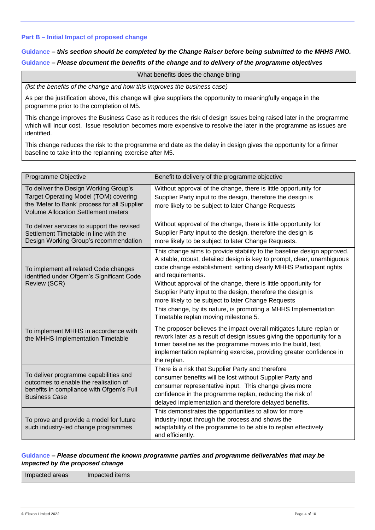#### **Part B – Initial Impact of proposed change**

# **Guidance** *– this section should be completed by the Change Raiser before being submitted to the MHHS PMO.*  **Guidance** *– Please document the benefits of the change and to delivery of the programme objectives*

What benefits does the change bring

*(list the benefits of the change and how this improves the business case)*

As per the justification above, this change will give suppliers the opportunity to meaningfully engage in the programme prior to the completion of M5.

This change improves the Business Case as it reduces the risk of design issues being raised later in the programme which will incur cost. Issue resolution becomes more expensive to resolve the later in the programme as issues are identified.

This change reduces the risk to the programme end date as the delay in design gives the opportunity for a firmer baseline to take into the replanning exercise after M5.

| Programme Objective                                                                                                                                                          | Benefit to delivery of the programme objective                                                                                                                                                                                                                                                                                                                                                                                      |
|------------------------------------------------------------------------------------------------------------------------------------------------------------------------------|-------------------------------------------------------------------------------------------------------------------------------------------------------------------------------------------------------------------------------------------------------------------------------------------------------------------------------------------------------------------------------------------------------------------------------------|
| To deliver the Design Working Group's<br>Target Operating Model (TOM) covering<br>the 'Meter to Bank' process for all Supplier<br><b>Volume Allocation Settlement meters</b> | Without approval of the change, there is little opportunity for<br>Supplier Party input to the design, therefore the design is<br>more likely to be subject to later Change Requests                                                                                                                                                                                                                                                |
| To deliver services to support the revised<br>Settlement Timetable in line with the<br>Design Working Group's recommendation                                                 | Without approval of the change, there is little opportunity for<br>Supplier Party input to the design, therefore the design is<br>more likely to be subject to later Change Requests.                                                                                                                                                                                                                                               |
| To implement all related Code changes<br>identified under Ofgem's Significant Code<br>Review (SCR)                                                                           | This change aims to provide stability to the baseline design approved.<br>A stable, robust, detailed design is key to prompt, clear, unambiguous<br>code change establishment; setting clearly MHHS Participant rights<br>and requirements.<br>Without approval of the change, there is little opportunity for<br>Supplier Party input to the design, therefore the design is<br>more likely to be subject to later Change Requests |
| To implement MHHS in accordance with<br>the MHHS Implementation Timetable                                                                                                    | This change, by its nature, is promoting a MHHS Implementation<br>Timetable replan moving milestone 5.<br>The proposer believes the impact overall mitigates future replan or<br>rework later as a result of design issues giving the opportunity for a<br>firmer baseline as the programme moves into the build, test,<br>implementation replanning exercise, providing greater confidence in<br>the replan.                       |
| To deliver programme capabilities and<br>outcomes to enable the realisation of<br>benefits in compliance with Ofgem's Full<br><b>Business Case</b>                           | There is a risk that Supplier Party and therefore<br>consumer benefits will be lost without Supplier Party and<br>consumer representative input. This change gives more<br>confidence in the programme replan, reducing the risk of<br>delayed implementation and therefore delayed benefits.                                                                                                                                       |
| To prove and provide a model for future<br>such industry-led change programmes                                                                                               | This demonstrates the opportunities to allow for more<br>industry input through the process and shows the<br>adaptability of the programme to be able to replan effectively<br>and efficiently.                                                                                                                                                                                                                                     |

## **Guidance** *– Please document the known programme parties and programme deliverables that may be impacted by the proposed change*

Impacted areas | Impacted items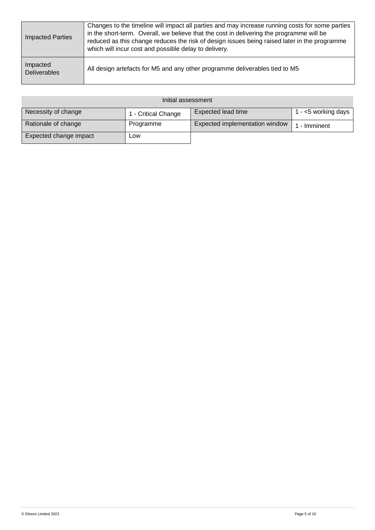| <b>Impacted Parties</b>         | Changes to the timeline will impact all parties and may increase running costs for some parties<br>in the short-term. Overall, we believe that the cost in delivering the programme will be<br>reduced as this change reduces the risk of design issues being raised later in the programme<br>which will incur cost and possible delay to delivery. |
|---------------------------------|------------------------------------------------------------------------------------------------------------------------------------------------------------------------------------------------------------------------------------------------------------------------------------------------------------------------------------------------------|
| Impacted<br><b>Deliverables</b> | All design artefacts for M5 and any other programme deliverables tied to M5                                                                                                                                                                                                                                                                          |

| Initial assessment     |                     |                                |                     |  |  |
|------------------------|---------------------|--------------------------------|---------------------|--|--|
| Necessity of change    | 1 - Critical Change | Expected lead time             | l - <5 working days |  |  |
| Rationale of change    | Programme           | Expected implementation window | - Imminent          |  |  |
| Expected change impact | Low                 |                                |                     |  |  |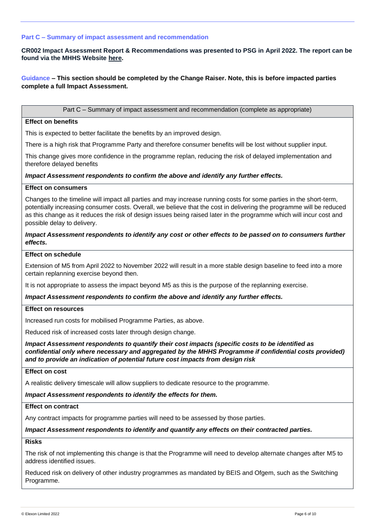#### **Part C – Summary of impact assessment and recommendation**

**CR002 Impact Assessment Report & Recommendations was presented to PSG in April 2022. The report can be found via the MHHS Website [here.](https://mhhsprogramme-production-cdn.s3.eu-west-2.amazonaws.com/wp-content/uploads/2022/04/01163808/MHHS-DEL338-PSG-06-April-2022-Attachment-1-CR001-CR002-Impact-Assessment-Responses-v1.0.pdf)** 

# **Guidance – This section should be completed by the Change Raiser. Note, this is before impacted parties complete a full Impact Assessment.**

Part C – Summary of impact assessment and recommendation (complete as appropriate)

#### **Effect on benefits**

This is expected to better facilitate the benefits by an improved design.

There is a high risk that Programme Party and therefore consumer benefits will be lost without supplier input.

This change gives more confidence in the programme replan, reducing the risk of delayed implementation and therefore delayed benefits

#### *Impact Assessment respondents to confirm the above and identify any further effects.*

# **Effect on consumers**

Changes to the timeline will impact all parties and may increase running costs for some parties in the short-term, potentially increasing consumer costs. Overall, we believe that the cost in delivering the programme will be reduced as this change as it reduces the risk of design issues being raised later in the programme which will incur cost and possible delay to delivery.

#### *Impact Assessment respondents to identify any cost or other effects to be passed on to consumers further effects.*

#### **Effect on schedule**

Extension of M5 from April 2022 to November 2022 will result in a more stable design baseline to feed into a more certain replanning exercise beyond then.

It is not appropriate to assess the impact beyond M5 as this is the purpose of the replanning exercise.

#### *Impact Assessment respondents to confirm the above and identify any further effects.*

#### **Effect on resources**

Increased run costs for mobilised Programme Parties, as above.

Reduced risk of increased costs later through design change.

*Impact Assessment respondents to quantify their cost impacts (specific costs to be identified as confidential only where necessary and aggregated by the MHHS Programme if confidential costs provided) and to provide an indication of potential future cost impacts from design risk* 

# **Effect on cost**

A realistic delivery timescale will allow suppliers to dedicate resource to the programme.

#### *Impact Assessment respondents to identify the effects for them.*

#### **Effect on contract**

Any contract impacts for programme parties will need to be assessed by those parties.

#### *Impact Assessment respondents to identify and quantify any effects on their contracted parties.*

#### **Risks**

The risk of not implementing this change is that the Programme will need to develop alternate changes after M5 to address identified issues.

Reduced risk on delivery of other industry programmes as mandated by BEIS and Ofgem, such as the Switching Programme.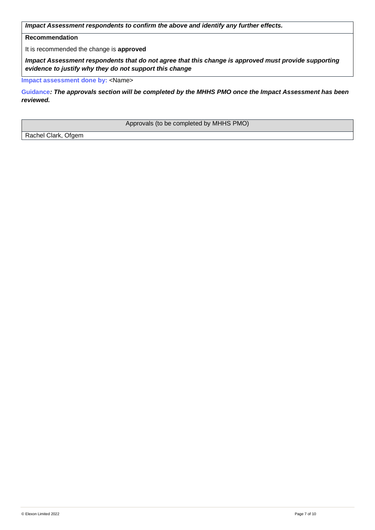*Impact Assessment respondents to confirm the above and identify any further effects.*

# **Recommendation**

It is recommended the change is **approved**

*Impact Assessment respondents that do not agree that this change is approved must provide supporting evidence to justify why they do not support this change*

**Impact assessment done by: <Name>** 

**Guidance***: The approvals section will be completed by the MHHS PMO once the Impact Assessment has been reviewed.*

Approvals (to be completed by MHHS PMO)

Rachel Clark, Ofgem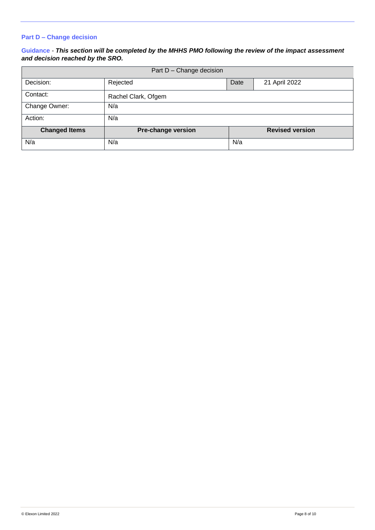# **Part D – Change decision**

# **Guidance** - *This section will be completed by the MHHS PMO following the review of the impact assessment and decision reached by the SRO.*

| Part D - Change decision |                     |      |                        |  |  |
|--------------------------|---------------------|------|------------------------|--|--|
| Decision:                | Rejected            | Date | 21 April 2022          |  |  |
| Contact:                 | Rachel Clark, Ofgem |      |                        |  |  |
| Change Owner:            | N/a                 |      |                        |  |  |
| Action:                  | N/a                 |      |                        |  |  |
| <b>Changed Items</b>     | Pre-change version  |      | <b>Revised version</b> |  |  |
| N/a                      | N/a                 | N/a  |                        |  |  |